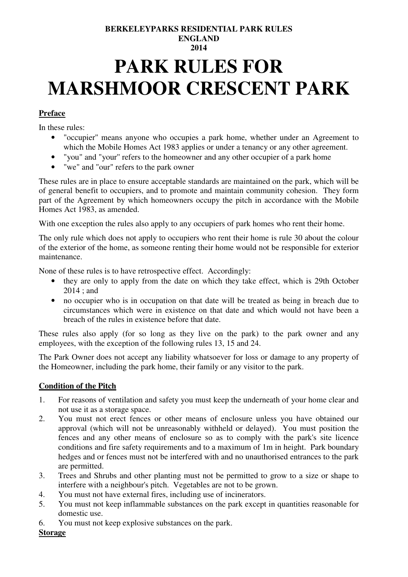## **BERKELEYPARKS RESIDENTIAL PARK RULES ENGLAND 2014**

# **PARK RULES FOR MARSHMOOR CRESCENT PARK**

## **Preface**

In these rules:

- "occupier'' means anyone who occupies a park home, whether under an Agreement to which the Mobile Homes Act 1983 applies or under a tenancy or any other agreement.
- "you" and "your'' refers to the homeowner and any other occupier of a park home
- "we" and "our" refers to the park owner

These rules are in place to ensure acceptable standards are maintained on the park, which will be of general benefit to occupiers, and to promote and maintain community cohesion. They form part of the Agreement by which homeowners occupy the pitch in accordance with the Mobile Homes Act 1983, as amended.

With one exception the rules also apply to any occupiers of park homes who rent their home.

The only rule which does not apply to occupiers who rent their home is rule 30 about the colour of the exterior of the home, as someone renting their home would not be responsible for exterior maintenance.

None of these rules is to have retrospective effect. Accordingly:

- they are only to apply from the date on which they take effect, which is 29th October 2014 ; and
- no occupier who is in occupation on that date will be treated as being in breach due to circumstances which were in existence on that date and which would not have been a breach of the rules in existence before that date.

These rules also apply (for so long as they live on the park) to the park owner and any employees, with the exception of the following rules 13, 15 and 24.

The Park Owner does not accept any liability whatsoever for loss or damage to any property of the Homeowner, including the park home, their family or any visitor to the park.

#### **Condition of the Pitch**

- 1. For reasons of ventilation and safety you must keep the underneath of your home clear and not use it as a storage space.
- 2. You must not erect fences or other means of enclosure unless you have obtained our approval (which will not be unreasonably withheld or delayed). You must position the fences and any other means of enclosure so as to comply with the park's site licence conditions and fire safety requirements and to a maximum of 1m in height. Park boundary hedges and or fences must not be interfered with and no unauthorised entrances to the park are permitted.
- 3. Trees and Shrubs and other planting must not be permitted to grow to a size or shape to interfere with a neighbour's pitch. Vegetables are not to be grown.
- 4. You must not have external fires, including use of incinerators.
- 5. You must not keep inflammable substances on the park except in quantities reasonable for domestic use.
- 6. You must not keep explosive substances on the park.

## **Storage**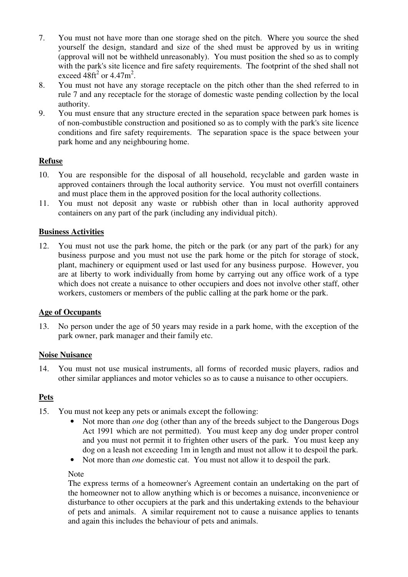- 7. You must not have more than one storage shed on the pitch. Where you source the shed yourself the design, standard and size of the shed must be approved by us in writing (approval will not be withheld unreasonably). You must position the shed so as to comply with the park's site licence and fire safety requirements. The footprint of the shed shall not exceed  $48 \text{ft}^2$  or  $4.47 \text{m}^2$ .
- 8. You must not have any storage receptacle on the pitch other than the shed referred to in rule 7 and any receptacle for the storage of domestic waste pending collection by the local authority.
- 9. You must ensure that any structure erected in the separation space between park homes is of non-combustible construction and positioned so as to comply with the park's site licence conditions and fire safety requirements. The separation space is the space between your park home and any neighbouring home.

#### **Refuse**

- 10. You are responsible for the disposal of all household, recyclable and garden waste in approved containers through the local authority service. You must not overfill containers and must place them in the approved position for the local authority collections.
- 11. You must not deposit any waste or rubbish other than in local authority approved containers on any part of the park (including any individual pitch).

## **Business Activities**

12. You must not use the park home, the pitch or the park (or any part of the park) for any business purpose and you must not use the park home or the pitch for storage of stock, plant, machinery or equipment used or last used for any business purpose. However, you are at liberty to work individually from home by carrying out any office work of a type which does not create a nuisance to other occupiers and does not involve other staff, other workers, customers or members of the public calling at the park home or the park.

#### **Age of Occupants**

13. No person under the age of 50 years may reside in a park home, with the exception of the park owner, park manager and their family etc.

#### **Noise Nuisance**

14. You must not use musical instruments, all forms of recorded music players, radios and other similar appliances and motor vehicles so as to cause a nuisance to other occupiers.

## **Pets**

- 15. You must not keep any pets or animals except the following:
	- Not more than *one* dog (other than any of the breeds subject to the Dangerous Dogs Act 1991 which are not permitted). You must keep any dog under proper control and you must not permit it to frighten other users of the park. You must keep any dog on a leash not exceeding 1m in length and must not allow it to despoil the park.
	- Not more than *one* domestic cat. You must not allow it to despoil the park.

## Note

The express terms of a homeowner's Agreement contain an undertaking on the part of the homeowner not to allow anything which is or becomes a nuisance, inconvenience or disturbance to other occupiers at the park and this undertaking extends to the behaviour of pets and animals. A similar requirement not to cause a nuisance applies to tenants and again this includes the behaviour of pets and animals.